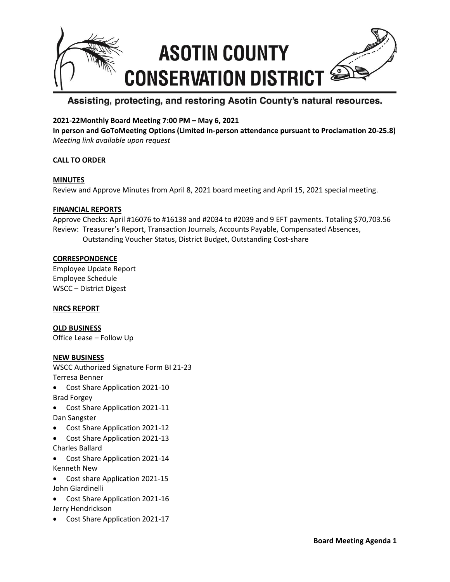

# Assisting, protecting, and restoring Asotin County's natural resources.

# **2021-22Monthly Board Meeting 7:00 PM – May 6, 2021**

**In person and GoToMeeting Options (Limited in-person attendance pursuant to Proclamation 20-25.8)** *Meeting link available upon request*

# **CALL TO ORDER**

## **MINUTES**

Review and Approve Minutes from April 8, 2021 board meeting and April 15, 2021 special meeting.

## **FINANCIAL REPORTS**

Approve Checks: April #16076 to #16138 and #2034 to #2039 and 9 EFT payments. Totaling \$70,703.56 Review: Treasurer's Report, Transaction Journals, Accounts Payable, Compensated Absences, Outstanding Voucher Status, District Budget, Outstanding Cost-share

# **CORRESPONDENCE**

Employee Update Report Employee Schedule WSCC – District Digest

## **NRCS REPORT**

**OLD BUSINESS** Office Lease – Follow Up

## **NEW BUSINESS**

WSCC Authorized Signature Form BI 21-23 Terresa Benner

- Cost Share Application 2021-10 Brad Forgey
- Cost Share Application 2021-11 Dan Sangster
- Cost Share Application 2021-12
- Cost Share Application 2021-13 Charles Ballard
- Cost Share Application 2021-14 Kenneth New
- Cost share Application 2021-15 John Giardinelli
- Cost Share Application 2021-16 Jerry Hendrickson
- Cost Share Application 2021-17